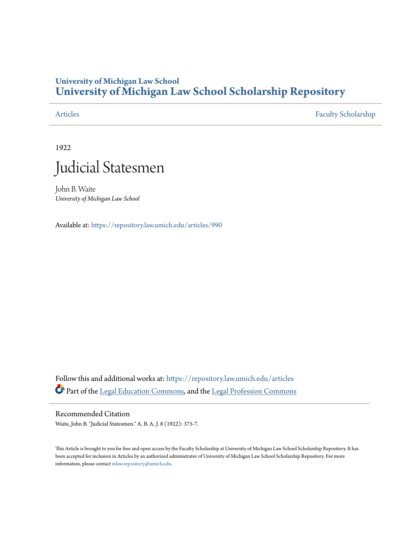## **University of Michigan Law School [University of Michigan Law School Scholarship Repository](https://repository.law.umich.edu?utm_source=repository.law.umich.edu%2Farticles%2F990&utm_medium=PDF&utm_campaign=PDFCoverPages)**

[Articles](https://repository.law.umich.edu/articles?utm_source=repository.law.umich.edu%2Farticles%2F990&utm_medium=PDF&utm_campaign=PDFCoverPages) [Faculty Scholarship](https://repository.law.umich.edu/faculty_scholarship?utm_source=repository.law.umich.edu%2Farticles%2F990&utm_medium=PDF&utm_campaign=PDFCoverPages)

1922



John B. Waite *University of Michigan Law School*

Available at: <https://repository.law.umich.edu/articles/990>

Follow this and additional works at: [https://repository.law.umich.edu/articles](https://repository.law.umich.edu/articles?utm_source=repository.law.umich.edu%2Farticles%2F990&utm_medium=PDF&utm_campaign=PDFCoverPages) Part of the [Legal Education Commons,](http://network.bepress.com/hgg/discipline/857?utm_source=repository.law.umich.edu%2Farticles%2F990&utm_medium=PDF&utm_campaign=PDFCoverPages) and the [Legal Profession Commons](http://network.bepress.com/hgg/discipline/1075?utm_source=repository.law.umich.edu%2Farticles%2F990&utm_medium=PDF&utm_campaign=PDFCoverPages)

Recommended Citation Waite, John B. "Judicial Statesmen." A. B. A. J. 8 (1922): 375-7.

This Article is brought to you for free and open access by the Faculty Scholarship at University of Michigan Law School Scholarship Repository. It has been accepted for inclusion in Articles by an authorized administrator of University of Michigan Law School Scholarship Repository. For more information, please contact [mlaw.repository@umich.edu.](mailto:mlaw.repository@umich.edu)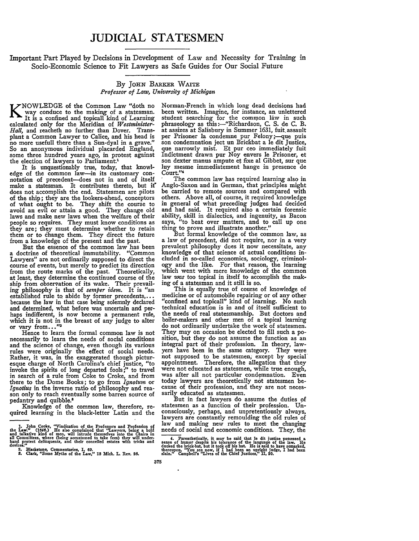## **JUDICIAL STATESMEN**

Important Part Played by Decisions in Development of Law and Necessity for Training in Socio-Economic Science to Fit Lawyers as Safe Guides for Our Social Future

## **By JOHN BARKER WAITE** *Professor of Law, University of Michigan*

way conduce to the making of a statesman.<br>It is a confined and topicall kind of Learning calculated only for the Meridian of *Westminister-Hall,* and reacheth no further than Dover. Transplant a Common Lawyer to Calice, and his head is no more usefull there than a Sun-dyal in a grave." So an anonymous individual placarded England, some three hundred years ago, in protest against the election of lawyers to Parliament.

It is unquestionably true, today, that knowl-edge of the common law-in its customary con- notation of precedent--does not in and of itself make a statesman. It contributes thereto, but it does not accomplish the end. Statesmen are pilots of the ship; they are the lookers-ahead, conceptors of what ought to be. They shift the course to avoid an evil or attain a good. They change old laws and make new laws when the welfare of their people so requires. They must know conditions as they are; they must determine whether to retain them or to change them. They direct the future from a knowledge of the present and the past.

a doctrine of theoretical immutability. "Common Lawyers" are not ordinarily supposed to direct the course of events, but merely to predict its direction from the route marks of the past. Theoretically, at least, they determine the continued course of the ship from observation of its wake. Their prevailing philosophy is that of *semper idem.* It is "an established rule to abide **by** former precedents,... because the law in that case being solemnly declared and determined, what before was uncertain and perhaps indifferent, is now become a permanent rule, which it is not in the breast of any judge to alter or vary from..."<sup>2</sup>

Hence to learn the formal common law is not necessarily to learn the needs of social conditions and the science of change, even though its various rules were originally the effect of social needs. Rather, it was, in the exaggerated though picturesque charge of North Carolina's chief justice, "to invoke the spirits of long departed fools;" to travel in search of a rule from Coke to Croke, and from there to the Dome Books; to go from *Ignotum* or *Ignotius* in the inverse ratio of philosophy and reason only to reach eventually some barren source of pedantry and quibble.

Knowledge of the common law, therefore, re- quired learning in the black-letter Latin and the

Norman-French in which long dead decisions had been written. Imagine, for instance, an unlettered student searching for the common law in such phraseology as this :--"Richardson, **C. S.** de **C.** B. at assizes at Salisbury in Summer 1631, fuit assault per Prisoner la condemne pur Felony;-que puis son condemnation ject un Brickbat a le dit Justice, que narrowly mist. Et pur ceo immediately fuit Indictment drawn pur Noy envers le Prisoner, et son dexter manus ampute et fixe al Gibbet, sur que luy mesme immediatement hange in presence de Court."4

The common law has required learning also in Anglo-Saxon and in German, that principles might be carried to remote sources and compared with others. Above all, of course, it required knowledge in general of what preceding judges had decided and had said. It required also a certain forensic ability, skill in dialectics, and ingenuity, as Bacon says, "to beat over matters, and to call up one thing to prove and illustrate another."

But formal knowledge of the common law, as a law of precedent, did not require, nor in a very prevalent philosophy does it now necessitate, any knowledge of that science of actual conditions included in so-called economics, sociology, criminology and the like. For that reason, the learning which went with mere knowledge of the common law *wars* too topical in itself to accomplish the making of a statesman and it still is so.

This is equally true of course of knowledge of medicine or of automobile repairing or of any other "confined and topicall" kind of learning. No such technical education is in and of itself sufficient to the needs of real statesmanship. But doctors and boiler-makers and other men of a topical learning do not ordinarily undertake the work of statesmen. They may on occasion be elected to fill such a position, but they do not assume the function as an integral part of their profession. In theory, lawyers have been in the same category. They were not supposed to be statesmen; except **by** special' were not educated as statesmen, while true enough, was after all not particular condemnation. Even today lawyers are theoretically not statesmen because of their profession, and they are not necessarily educated as statesmen.

But in fact lawyers do assume the duties of statesmen as a function of their profession. Unconsciously, perhaps, and unpretentiously always, lawyers are constantly remoulding the old rules of law and making new rules to meet the changing needs of social and economic conditions. They, the

4. Parenthetically, it may be said that Ie dit justice possessed a<br>sense of humor despite his tolerance of the language of the law. He<br>ducked the brick-bat, but it took off his hat. He is said to have remarked, **thereupon. "You see now, if** I **had been an upright judge, I had been slain." Campbell's "Lives of the Chief Justices," 1I, 20.**

<sup>1.</sup> John Cooke, "Vindication of the Professors and Profession of the Law." (1646.) He also complained that "Lawyers, being a bold and talkative kind of men, will intrude themselves into the Chairs in all Committees, where

**S. Clark, "Some Myths of** the **Law," 18 Mich. L. Rev. 26.**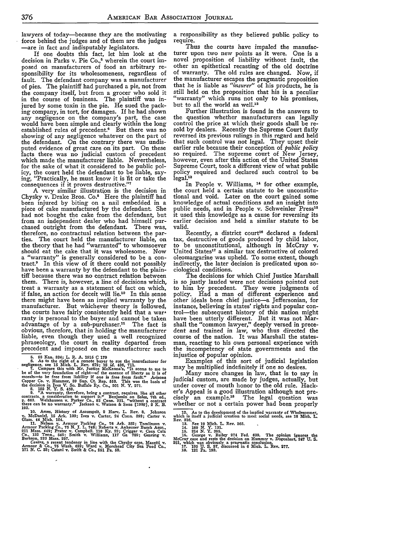lawyers of today-because they are the motivating force behind the judges and of them are the judges -are in fact and indisputably legislators.

If one doubts this fact, let him look at the decision in Parks v. Pie Co.,<sup>5</sup> wherein the court imposed on manufacturers of food an arbitrary responsibility for its wholesomeness, regardless of fault. The defendant company was a manufacturer of pies. The plaintiff had purchased a pie, not from the company itself, but from a grocer who sold it in the course of business. The plaintiff was injured by some toxin in the pie. He sued the packing company, in tort, for damages. If he had shown any negligence on the company's part, the case would have been simple and clearly within the long established rules of precedent.6 But there was no showing of any negligence whatever on the part of the defendant. On the contrary there was undisputed evidence of great care on its part. On these facts there was no judicial custom of precedent which made the manufacturer liable. Nevertheless, for the sake of what it considered to be public policy, the court held the defendant to be liable, saying, "Practically, he must know it is fit or take the consequences if it proves destructive."7

A very similar illustration is the decision in Chysky v. Drake Bros. Co.<sup>8</sup> Here the plaintiff had been injured by biting on a nail embedded in a piece of cake manufactured by the defendant. She had not bought the cake from the defendant, but from an independent dealer who had himself purchased outright from the defendant. There was, therefore, no contractual relation between the parties. The court held the manufacturer liable, on the theory that he had "warranted" to whomsoever should eat the cake that it was wholesome. Now a "warranty" is generally considered to be a con-<br>tract.' In this view of it there could not possibly have been a warranty by the defendant to the plaintiff because there was no contract relation between them. There is, however, a line of decisions which, treat a warranty as a statement of fact on which,<br>if false, an action for deceit will lie.<sup>10</sup> In this sense there might have been an implied warranty by the manufacturer. But whichever theory is followed, the courts have fairly consistently held that a warranty is personal to the buyer and cannot be taken advantage of by a sub-purchaser.<sup>11</sup> The fact is obvious, therefore, that in holding the manufacturer liable, even though they used a well recognized phraseology, the court in reality departed from precedent and imposed on the manufacturer such

5. 93 Kan. 334; L. R. A. 1915 C 179<br>
6. As to the right of a remote buyer to sue the manufacturer for<br>
eighence, see 15 Mich. L. Rev. 672; 18 id. 436, 711.<br>
7. Compare this with Mr. Justice McKenna's, "It seems to me to<br>

**10. Ames, History** of **Assumpsit,** 2 **Harv. L. Rev. 8. Johnson v. McDaniel. 15 Ark. 109; Ives v. Carter, 24 Conn. 392;** Carter **v.**

Glass. 44 Mich. 154.<br>11. Nelson v. Armour Packing Co., 76 Ark. 352; Tomlinson v.<br>Armour Packing Co., 75 N. J. J. 748; Roberts v. Anheuser Busch Assn.,<br>211 Mass. 449; Prater v. Campbell. 110 Ky. 23; Crigger v. Coca Cola

Co., 132 Tenn., 545; Smith v. Williams, 117 Ga 782; Gearing v.<br>Berkson, 223 Mass. 257.<br>Contra, a recent tendency in line with the Chysky case, Mazetti v.<br>Armour & Co., 75 Wash. 622; Ward v. Morehead City Sea Food Co.,<br>171

a responsibility as they believed public policy to require.

Thus the courts have impaled the manufacturer upon two new points as it were. One is a novel proposition of liability without fault, the other an epithetical recasting of the old doctrine of warranty. The old rules are changed. Now, if the manufacturer escapes the pragmatic proposition that he is liable as *"insurer"* of his products, he is "warranty" which runs not only to his promises, but to all the world as well.<sup>12</sup>

Further illustration is found in the answers to the question whether manufacturers can legally control the price at which their goods shall be re-<br>sold by dealers. Recently the Supreme Court flatly reversed its previous rulings in this regard and held that such control was not legal. They upset their earlier rule because their conception of *public policy* so required. The supreme court of New Jersey, however, even after this action of the United States<br>Supreme Court, took a different view of what public Supreme Court, took a different view of what public policy required and declared such control to be legal.

In People v. Williams, <sup>14</sup> for other example, the court held a certain statute to be unconstituknowledge of actual conditions and an insight into public needs, and in People v. Schweinler Press<sup>15</sup> it used this knowledge as a cause for reversing its earlier decision and held a similar statute to be valid.

Recently, a district court<sup>16</sup> declared a federal tax, destructive of goods produced by child labor, to be unconstitutional, although in McCray *v,* United States17 a similar tax destructive of colored oleomargarine was upheld. To some extent, though indirectly, the later decision is predicated upon so- ciological conditions.

The decisions for which Chief Justice Marshall is so justly lauded were not decisions pointed out to him by precedent. They were judgments of policy. Had a man of different experience and other ideals been chief justice-a Jeffersonian, for instance, believing in states' rights and popular coninstance, believing in states' rights and popular con- trol-the subsequent history of this nation might have been utterly different. But it was not Marshall the "common lawyer," deeply versed in precedent and trained in law, who thus directed the course of the nation. It was Marshall the statescourse of the nation. It was Marshall the states-<br>man, reacting to his own personal experience with the incompetency of state governments and the injustice of popular opinion.

Examples of this sort of judicial legislation may be multiplied indefinitely if one so desires.

Many more changes in law, that is to say in judicial custom, are made by judges, actually, but under cover of mouth honor to the old rule. Hacker's Appeal is a good illustration although not precisely an example.18 The legal question was whether or not a certain power had been properly

12. As to the development of the implied warranty of Wholesomner, which is itself a judicial creation to meet social needs, see 18 Mich. L.

which is itself a judicial creation to meet social needs, see 18 Mich. I.<br>Rev. 316. See 19 Mich. L. Rev. 265.<br>14. 189 N. Y. 331.<br>15. 214 N. Y. 395.<br>15. 214 N. Y. 395.<br>16. 224 N. Y. 395.<br>16. Clorge v. Bailey 274 Fed. 639. T